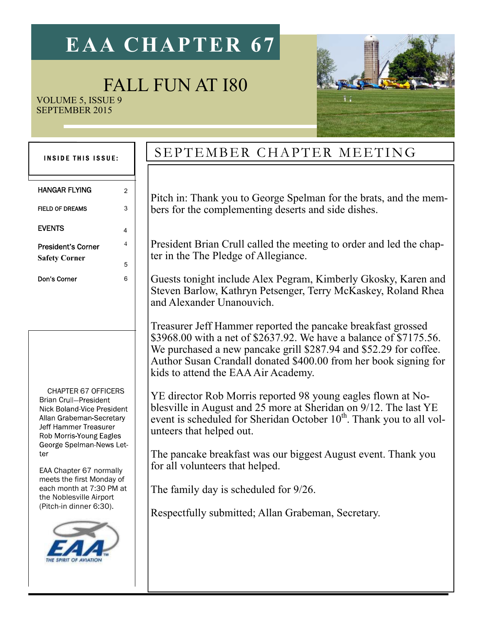# **EAA CHAPTER 67**

### FALL FUN AT I80

VOLUME 5, ISSUE 9 SEPTEMBER 2015



| <b>INSIDE THIS ISSUE:</b>                                                                                                                                                                                                                                                                                                                             |                              | $\mathcal S$                                                                                 |
|-------------------------------------------------------------------------------------------------------------------------------------------------------------------------------------------------------------------------------------------------------------------------------------------------------------------------------------------------------|------------------------------|----------------------------------------------------------------------------------------------|
| <b>HANGAR FLYING</b>                                                                                                                                                                                                                                                                                                                                  | 2                            |                                                                                              |
| <b>FIELD OF DREAMS</b>                                                                                                                                                                                                                                                                                                                                | 3                            | Pit<br>bei                                                                                   |
| <b>EVENTS</b>                                                                                                                                                                                                                                                                                                                                         | 4                            |                                                                                              |
| <b>President's Corner</b><br><b>Safety Corner</b>                                                                                                                                                                                                                                                                                                     | $\overline{\mathbf{4}}$<br>5 | Pr<br>ter                                                                                    |
| Don's Corner                                                                                                                                                                                                                                                                                                                                          | 6                            | Gu<br>$St \epsilon$<br>an                                                                    |
| <b>CHAPTER 67 OFFICERS</b><br><b>Brian Crull-President</b><br>Nick Boland-Vice President<br>Allan Grabeman-Secretary<br>Jeff Hammer Treasurer<br>Rob Morris-Young Eagles<br>George Spelman-News Let-<br>ter<br>EAA Chapter 67 normally<br>meets the first Monday of<br>each month at 7:30 PM at<br>the Noblesville Airport<br>(Pitch-in dinner 6:30). |                              | Tre<br>\$3<br>$\rm W\epsilon$<br>Au<br>kic<br>YF<br>ble<br>ev<br>un<br>Th<br>for<br>Th<br>Re |
| <b>SPIRIT OF AVIATION</b>                                                                                                                                                                                                                                                                                                                             |                              |                                                                                              |
|                                                                                                                                                                                                                                                                                                                                                       |                              |                                                                                              |

### EPTEMBER CHAPTER MEETING

ch in: Thank you to George Spelman for the brats, and the memrs for the complementing deserts and side dishes.

esident Brian Crull called the meeting to order and led the chapin the The Pledge of Allegiance.

lests tonight include Alex Pegram, Kimberly Gkosky, Karen and even Barlow, Kathryn Petsenger, Terry McKaskey, Roland Rhea d Alexander Unanouvich.

easurer Jeff Hammer reported the pancake breakfast grossed 968.00 with a net of \$2637.92. We have a balance of \$7175.56. e purchased a new pancake grill \$287.94 and \$52.29 for coffee. Author Susan Crandall donated \$400.00 from her book signing for ls to attend the EAA Air Academy.

E director Rob Morris reported 98 young eagles flown at Noblesville in August and 25 more at Sheridan on 9/12. The last YE ent is scheduled for Sheridan October  $10^{th}$ . Thank you to all volteers that helped out.

e pancake breakfast was our biggest August event. Thank you all volunteers that helped.

 $\epsilon$  family day is scheduled for 9/26.

spectfully submitted; Allan Grabeman, Secretary.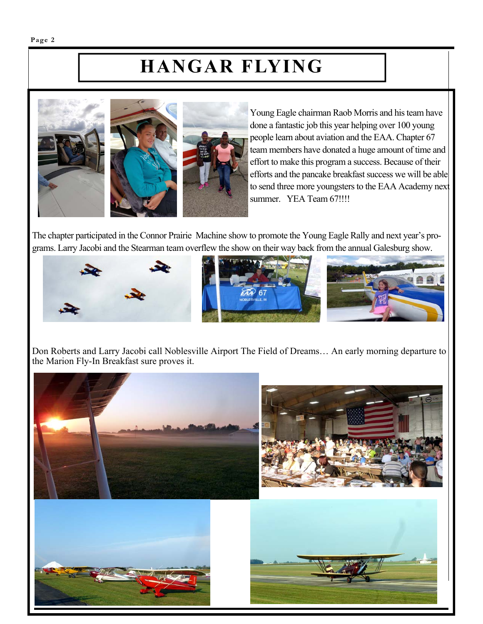### **HANGAR FLYING**







Young Eagle chairman Raob Morris and his team have done a fantastic job this year helping over 100 young people learn about aviation and the EAA. Chapter 67 team members have donated a huge amount of time and effort to make this program a success. Because of their efforts and the pancake breakfast success we will be able to send three more youngsters to the EAA Academy next summer. YEA Team 67!!!!

The chapter participated in the Connor Prairie Machine show to promote the Young Eagle Rally and next year's programs. Larry Jacobi and the Stearman team overflew the show on their way back from the annual Galesburg show.



Don Roberts and Larry Jacobi call Noblesville Airport The Field of Dreams… An early morning departure to the Marion Fly-In Breakfast sure proves it.

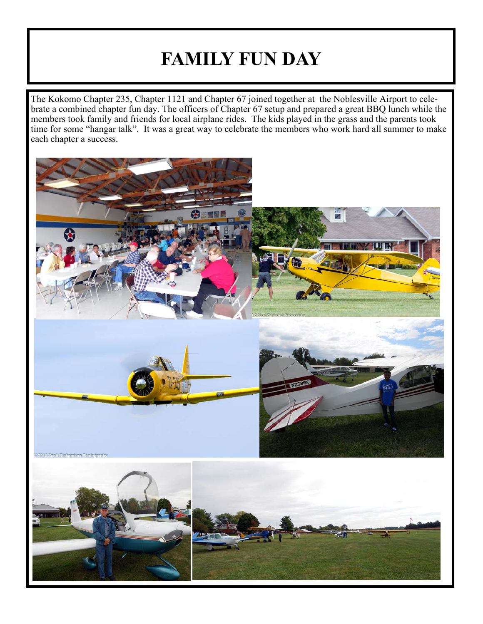## **FAMILY FUN DAY**

The Kokomo Chapter 235, Chapter 1121 and Chapter 67 joined together at the Noblesville Airport to celebrate a combined chapter fun day. The officers of Chapter 67 setup and prepared a great BBQ lunch while the members took family and friends for local airplane rides. The kids played in the grass and the parents took time for some "hangar talk". It was a great way to celebrate the members who work hard all summer to make each chapter a success.

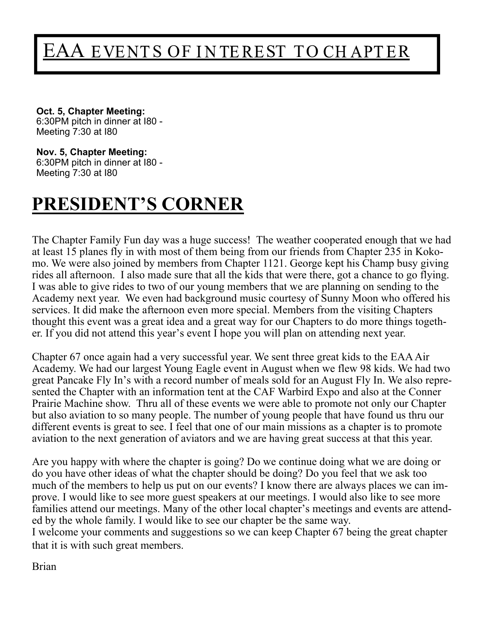## EAA EVENTS OF INTEREST TO CHAPTER

**Oct. 5, Chapter Meeting:**  6:30PM pitch in dinner at I80 - Meeting 7:30 at I80

#### **Nov. 5, Chapter Meeting:**

6:30PM pitch in dinner at I80 - Meeting 7:30 at I80

### **PRESIDENT'S CORNER**

The Chapter Family Fun day was a huge success! The weather cooperated enough that we had at least 15 planes fly in with most of them being from our friends from Chapter 235 in Kokomo. We were also joined by members from Chapter 1121. George kept his Champ busy giving rides all afternoon. I also made sure that all the kids that were there, got a chance to go flying. I was able to give rides to two of our young members that we are planning on sending to the Academy next year. We even had background music courtesy of Sunny Moon who offered his services. It did make the afternoon even more special. Members from the visiting Chapters thought this event was a great idea and a great way for our Chapters to do more things together. If you did not attend this year's event I hope you will plan on attending next year.

Chapter 67 once again had a very successful year. We sent three great kids to the EAA Air Academy. We had our largest Young Eagle event in August when we flew 98 kids. We had two great Pancake Fly In's with a record number of meals sold for an August Fly In. We also represented the Chapter with an information tent at the CAF Warbird Expo and also at the Conner Prairie Machine show. Thru all of these events we were able to promote not only our Chapter but also aviation to so many people. The number of young people that have found us thru our different events is great to see. I feel that one of our main missions as a chapter is to promote aviation to the next generation of aviators and we are having great success at that this year.

Are you happy with where the chapter is going? Do we continue doing what we are doing or do you have other ideas of what the chapter should be doing? Do you feel that we ask too much of the members to help us put on our events? I know there are always places we can improve. I would like to see more guest speakers at our meetings. I would also like to see more families attend our meetings. Many of the other local chapter's meetings and events are attended by the whole family. I would like to see our chapter be the same way.

I welcome your comments and suggestions so we can keep Chapter 67 being the great chapter that it is with such great members.

Brian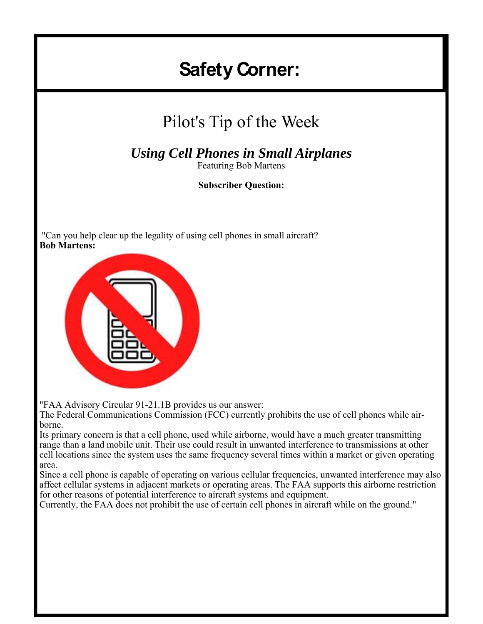## **Safety Corner:**

### Pilot's Tip of the Week

*Using Cell Phones in Small Airplanes*

Featuring Bob Martens

**Subscriber Question:**

 "Can you help clear up the legality of using cell phones in small aircraft? **Bob Martens:**



"FAA Advisory Circular 91-21.1B provides us our answer:

The Federal Communications Commission (FCC) currently prohibits the use of cell phones while airborne.

Its primary concern is that a cell phone, used while airborne, would have a much greater transmitting range than a land mobile unit. Their use could result in unwanted interference to transmissions at other cell locations since the system uses the same frequency several times within a market or given operating area.

Since a cell phone is capable of operating on various cellular frequencies, unwanted interference may also affect cellular systems in adjacent markets or operating areas. The FAA supports this airborne restriction for other reasons of potential interference to aircraft systems and equipment.

Currently, the FAA does not prohibit the use of certain cell phones in aircraft while on the ground."